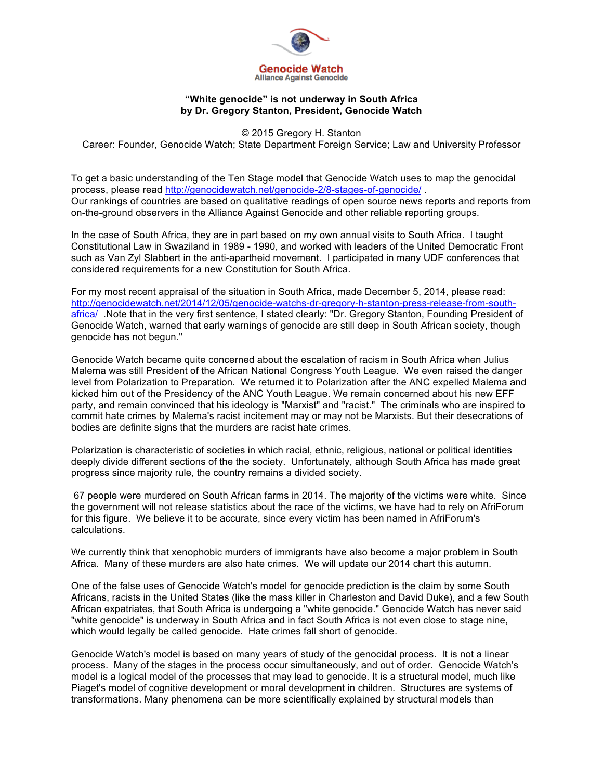

## **"White genocide" is not underway in South Africa by Dr. Gregory Stanton, President, Genocide Watch**

© 2015 Gregory H. Stanton

Career: Founder, Genocide Watch; State Department Foreign Service; Law and University Professor

To get a basic understanding of the Ten Stage model that Genocide Watch uses to map the genocidal process, please read http://genocidewatch.net/genocide-2/8-stages-of-genocide/ . Our rankings of countries are based on qualitative readings of open source news reports and reports from on-the-ground observers in the Alliance Against Genocide and other reliable reporting groups.

In the case of South Africa, they are in part based on my own annual visits to South Africa. I taught Constitutional Law in Swaziland in 1989 - 1990, and worked with leaders of the United Democratic Front such as Van Zyl Slabbert in the anti-apartheid movement. I participated in many UDF conferences that considered requirements for a new Constitution for South Africa.

For my most recent appraisal of the situation in South Africa, made December 5, 2014, please read: http://genocidewatch.net/2014/12/05/genocide-watchs-dr-gregory-h-stanton-press-release-from-southafrica/ .Note that in the very first sentence, I stated clearly: "Dr. Gregory Stanton, Founding President of Genocide Watch, warned that early warnings of genocide are still deep in South African society, though genocide has not begun."

Genocide Watch became quite concerned about the escalation of racism in South Africa when Julius Malema was still President of the African National Congress Youth League. We even raised the danger level from Polarization to Preparation. We returned it to Polarization after the ANC expelled Malema and kicked him out of the Presidency of the ANC Youth League. We remain concerned about his new EFF party, and remain convinced that his ideology is "Marxist" and "racist." The criminals who are inspired to commit hate crimes by Malema's racist incitement may or may not be Marxists. But their desecrations of bodies are definite signs that the murders are racist hate crimes.

Polarization is characteristic of societies in which racial, ethnic, religious, national or political identities deeply divide different sections of the the society. Unfortunately, although South Africa has made great progress since majority rule, the country remains a divided society.

 67 people were murdered on South African farms in 2014. The majority of the victims were white. Since the government will not release statistics about the race of the victims, we have had to rely on AfriForum for this figure. We believe it to be accurate, since every victim has been named in AfriForum's calculations.

We currently think that xenophobic murders of immigrants have also become a major problem in South Africa. Many of these murders are also hate crimes. We will update our 2014 chart this autumn.

One of the false uses of Genocide Watch's model for genocide prediction is the claim by some South Africans, racists in the United States (like the mass killer in Charleston and David Duke), and a few South African expatriates, that South Africa is undergoing a "white genocide." Genocide Watch has never said "white genocide" is underway in South Africa and in fact South Africa is not even close to stage nine, which would legally be called genocide. Hate crimes fall short of genocide.

Genocide Watch's model is based on many years of study of the genocidal process. It is not a linear process. Many of the stages in the process occur simultaneously, and out of order. Genocide Watch's model is a logical model of the processes that may lead to genocide. It is a structural model, much like Piaget's model of cognitive development or moral development in children. Structures are systems of transformations. Many phenomena can be more scientifically explained by structural models than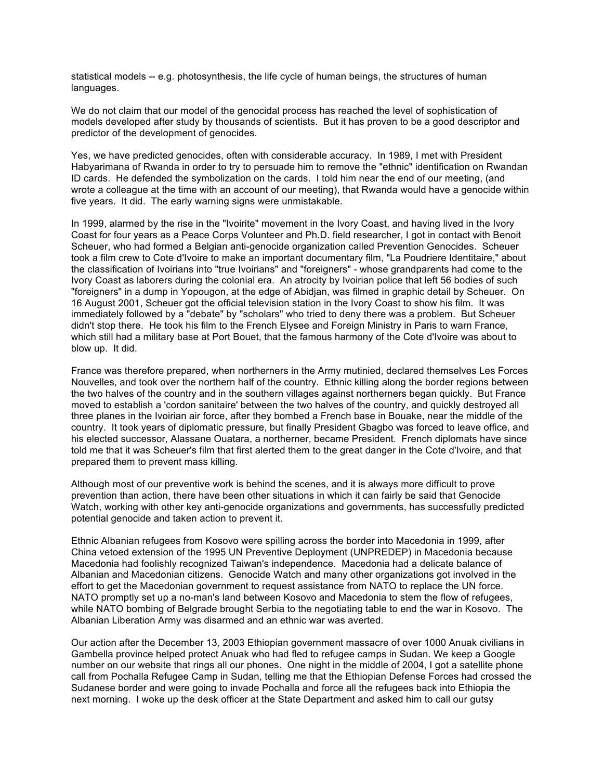statistical models -- e.g. photosynthesis, the life cycle of human beings, the structures of human languages.

We do not claim that our model of the genocidal process has reached the level of sophistication of models developed after study by thousands of scientists. But it has proven to be a good descriptor and predictor of the development of genocides.

Yes, we have predicted genocides, often with considerable accuracy. In 1989, I met with President Habyarimana of Rwanda in order to try to persuade him to remove the "ethnic" identification on Rwandan ID cards. He defended the symbolization on the cards. I told him near the end of our meeting, (and wrote a colleague at the time with an account of our meeting), that Rwanda would have a genocide within five years. It did. The early warning signs were unmistakable.

In 1999, alarmed by the rise in the "Ivoirite" movement in the Ivory Coast, and having lived in the Ivory Coast for four years as a Peace Corps Volunteer and Ph.D. field researcher, I got in contact with Benoit Scheuer, who had formed a Belgian anti-genocide organization called Prevention Genocides. Scheuer took a film crew to Cote d'Ivoire to make an important documentary film, "La Poudriere Identitaire," about the classification of Ivoirians into "true Ivoirians" and "foreigners" - whose grandparents had come to the Ivory Coast as laborers during the colonial era. An atrocity by Ivoirian police that left 56 bodies of such "foreigners" in a dump in Yopougon, at the edge of Abidjan, was filmed in graphic detail by Scheuer. On 16 August 2001, Scheuer got the official television station in the Ivory Coast to show his film. It was immediately followed by a "debate" by "scholars" who tried to deny there was a problem. But Scheuer didn't stop there. He took his film to the French Elysee and Foreign Ministry in Paris to warn France, which still had a military base at Port Bouet, that the famous harmony of the Cote d'Ivoire was about to blow up. It did.

France was therefore prepared, when northerners in the Army mutinied, declared themselves Les Forces Nouvelles, and took over the northern half of the country. Ethnic killing along the border regions between the two halves of the country and in the southern villages against northerners began quickly. But France moved to establish a 'cordon sanitaire' between the two halves of the country, and quickly destroyed all three planes in the Ivoirian air force, after they bombed a French base in Bouake, near the middle of the country. It took years of diplomatic pressure, but finally President Gbagbo was forced to leave office, and his elected successor, Alassane Ouatara, a northerner, became President. French diplomats have since told me that it was Scheuer's film that first alerted them to the great danger in the Cote d'Ivoire, and that prepared them to prevent mass killing.

Although most of our preventive work is behind the scenes, and it is always more difficult to prove prevention than action, there have been other situations in which it can fairly be said that Genocide Watch, working with other key anti-genocide organizations and governments, has successfully predicted potential genocide and taken action to prevent it.

Ethnic Albanian refugees from Kosovo were spilling across the border into Macedonia in 1999, after China vetoed extension of the 1995 UN Preventive Deployment (UNPREDEP) in Macedonia because Macedonia had foolishly recognized Taiwan's independence. Macedonia had a delicate balance of Albanian and Macedonian citizens. Genocide Watch and many other organizations got involved in the effort to get the Macedonian government to request assistance from NATO to replace the UN force. NATO promptly set up a no-man's land between Kosovo and Macedonia to stem the flow of refugees, while NATO bombing of Belgrade brought Serbia to the negotiating table to end the war in Kosovo. The Albanian Liberation Army was disarmed and an ethnic war was averted.

Our action after the December 13, 2003 Ethiopian government massacre of over 1000 Anuak civilians in Gambella province helped protect Anuak who had fled to refugee camps in Sudan. We keep a Google number on our website that rings all our phones. One night in the middle of 2004, I got a satellite phone call from Pochalla Refugee Camp in Sudan, telling me that the Ethiopian Defense Forces had crossed the Sudanese border and were going to invade Pochalla and force all the refugees back into Ethiopia the next morning. I woke up the desk officer at the State Department and asked him to call our gutsy